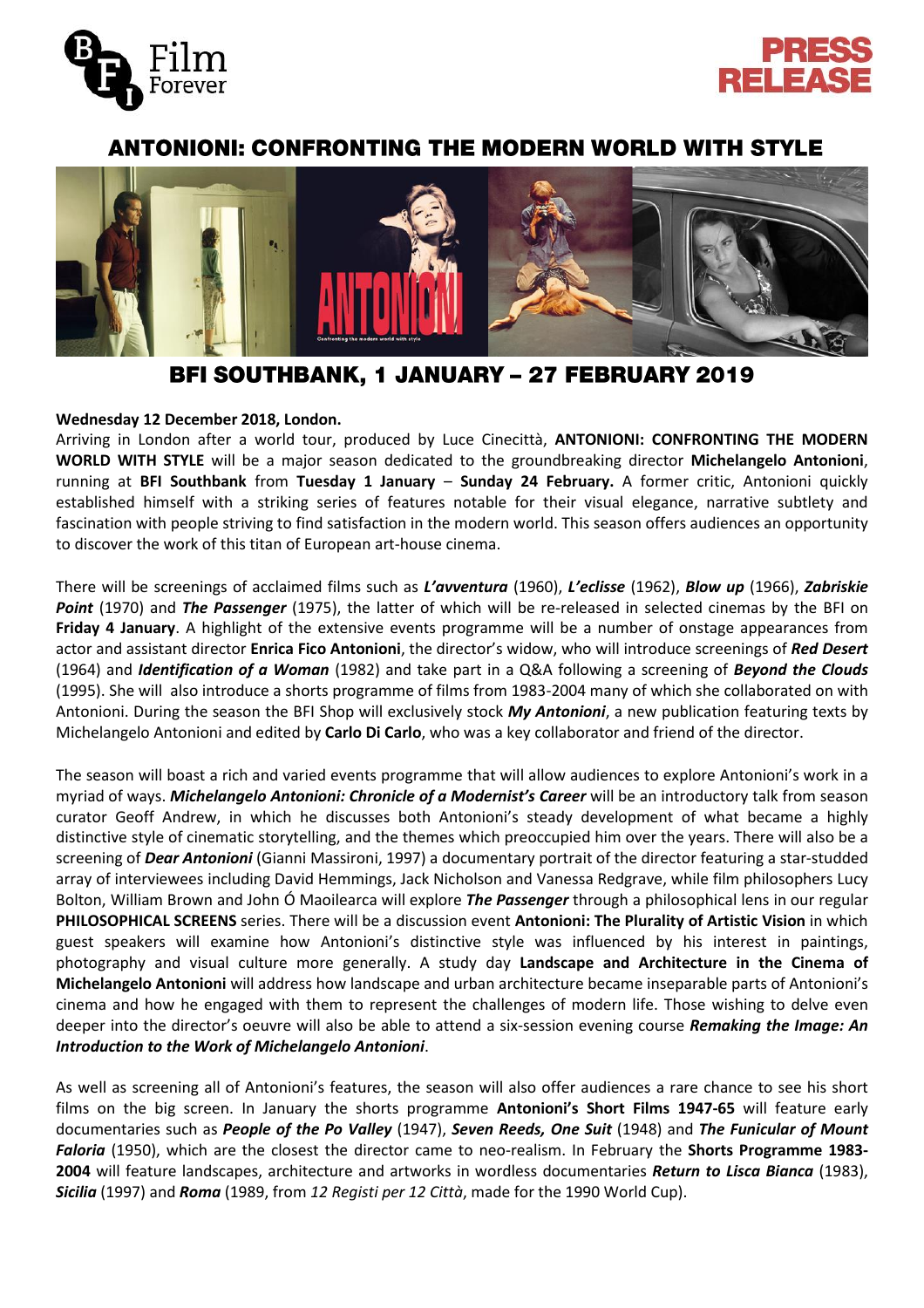



# **ANTONIONI: CONFRONTING THE MODERN WORLD WITH STYLE**



# **BFI SOUTHBANK, 1 JANUARY - 27 FEBRUARY 2019**

## **Wednesday 12 December 2018, London.**

Arriving in London after a world tour, produced by Luce Cinecittà, **ANTONIONI: CONFRONTING THE MODERN WORLD WITH STYLE** will be a major season dedicated to the groundbreaking director **Michelangelo Antonioni**, running at **BFI Southbank** from **Tuesday 1 January** – **Sunday 24 February.** A former critic, Antonioni quickly established himself with a striking series of features notable for their visual elegance, narrative subtlety and fascination with people striving to find satisfaction in the modern world. This season offers audiences an opportunity to discover the work of this titan of European art-house cinema.

There will be screenings of acclaimed films such as *L'avventura* (1960), *L'eclisse* (1962), *Blow up* (1966), *Zabriskie Point* (1970) and *The Passenger* (1975), the latter of which will be re-released in selected cinemas by the BFI on **Friday 4 January**. A highlight of the extensive events programme will be a number of onstage appearances from actor and assistant director **Enrica Fico Antonioni**, the director's widow, who will introduce screenings of *Red Desert* (1964) and *Identification of a Woman* (1982) and take part in a Q&A following a screening of *Beyond the Clouds* (1995). She will also introduce a shorts programme of films from 1983-2004 many of which she collaborated on with Antonioni. During the season the BFI Shop will exclusively stock *My Antonioni*, a new publication featuring texts by Michelangelo Antonioni and edited by **Carlo Di Carlo**, who was a key collaborator and friend of the director.

The season will boast a rich and varied events programme that will allow audiences to explore Antonioni's work in a myriad of ways. *Michelangelo Antonioni: Chronicle of a Modernist's Career* will be an introductory talk from season curator Geoff Andrew, in which he discusses both Antonioni's steady development of what became a highly distinctive style of cinematic storytelling, and the themes which preoccupied him over the years. There will also be a screening of *Dear Antonioni* (Gianni Massironi, 1997) a documentary portrait of the director featuring a star-studded array of interviewees including David Hemmings, Jack Nicholson and Vanessa Redgrave, while film philosophers Lucy Bolton, William Brown and John Ó Maoilearca will explore *The Passenger* through a philosophical lens in our regular **PHILOSOPHICAL SCREENS** series. There will be a discussion event **Antonioni: The Plurality of Artistic Vision** in which guest speakers will examine how Antonioni's distinctive style was influenced by his interest in paintings, photography and visual culture more generally. A study day **Landscape and Architecture in the Cinema of Michelangelo Antonioni** will address how landscape and urban architecture became inseparable parts of Antonioni's cinema and how he engaged with them to represent the challenges of modern life. Those wishing to delve even deeper into the director's oeuvre will also be able to attend a six-session evening course *Remaking the Image: An Introduction to the Work of Michelangelo Antonioni*.

As well as screening all of Antonioni's features, the season will also offer audiences a rare chance to see his short films on the big screen. In January the shorts programme **Antonioni's Short Films 1947-65** will feature early documentaries such as *People of the Po Valley* (1947), *Seven Reeds, One Suit* (1948) and *The Funicular of Mount Faloria* (1950), which are the closest the director came to neo-realism. In February the **Shorts Programme 1983- 2004** will feature landscapes, architecture and artworks in wordless documentaries *Return to Lisca Bianca* (1983), *Sicilia* (1997) and *Roma* (1989, from *12 Registi per 12 Città*, made for the 1990 World Cup).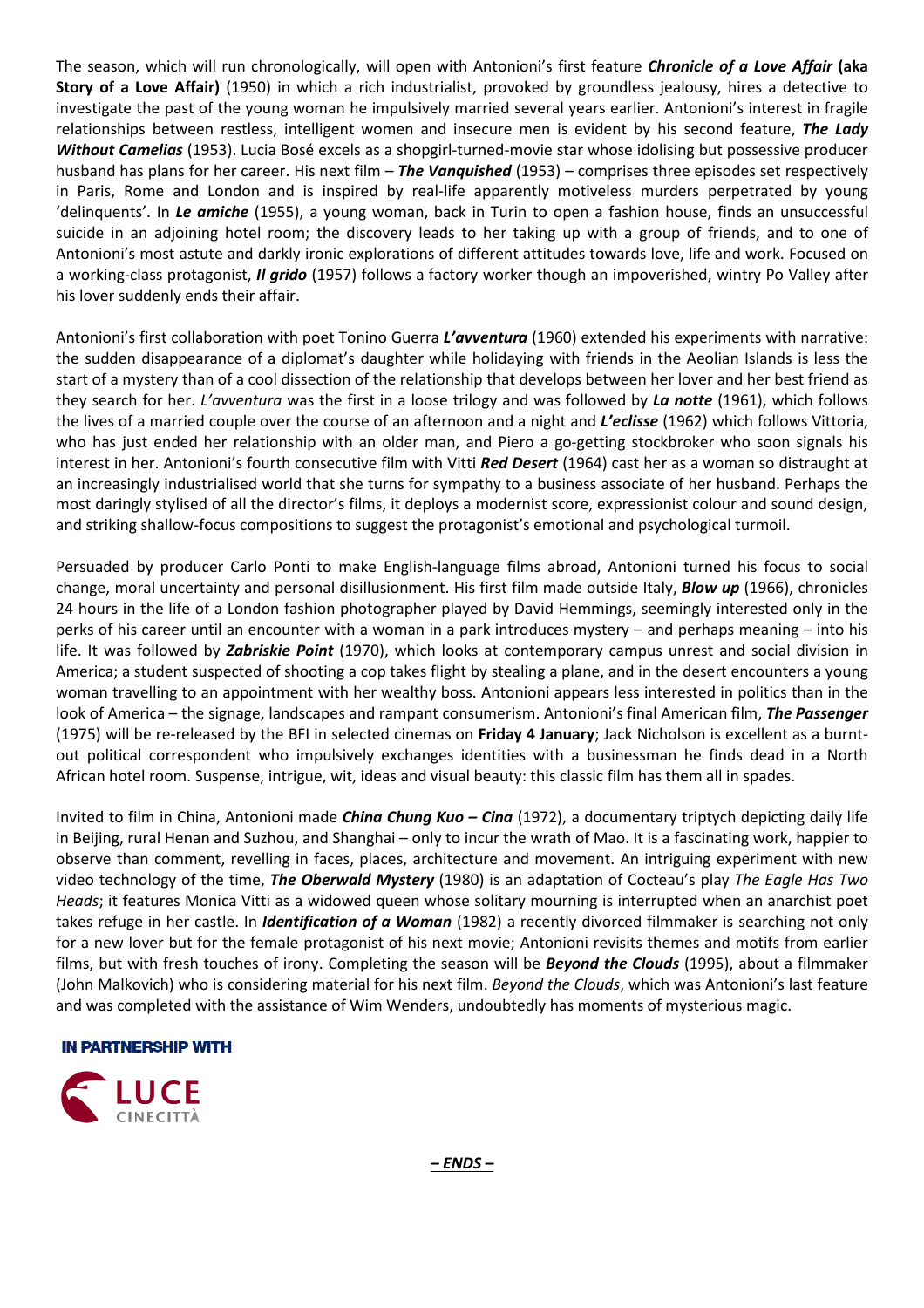The season, which will run chronologically, will open with Antonioni's first feature *Chronicle of a Love Affair* **(aka Story of a Love Affair)** (1950) in which a rich industrialist, provoked by groundless jealousy, hires a detective to investigate the past of the young woman he impulsively married several years earlier. Antonioni's interest in fragile relationships between restless, intelligent women and insecure men is evident by his second feature, *The Lady Without Camelias* (1953). Lucia Bosé excels as a shopgirl-turned-movie star whose idolising but possessive producer husband has plans for her career. His next film – *The Vanquished* (1953) – comprises three episodes set respectively in Paris, Rome and London and is inspired by real-life apparently motiveless murders perpetrated by young 'delinquents'. In *Le amiche* (1955), a young woman, back in Turin to open a fashion house, finds an unsuccessful suicide in an adjoining hotel room; the discovery leads to her taking up with a group of friends, and to one of Antonioni's most astute and darkly ironic explorations of different attitudes towards love, life and work. Focused on a working-class protagonist, *Il grido* (1957) follows a factory worker though an impoverished, wintry Po Valley after his lover suddenly ends their affair.

Antonioni's first collaboration with poet Tonino Guerra *L'avventura* (1960) extended his experiments with narrative: the sudden disappearance of a diplomat's daughter while holidaying with friends in the Aeolian Islands is less the start of a mystery than of a cool dissection of the relationship that develops between her lover and her best friend as they search for her. *L'avventura* was the first in a loose trilogy and was followed by *La notte* (1961), which follows the lives of a married couple over the course of an afternoon and a night and *L'eclisse* (1962) which follows Vittoria, who has just ended her relationship with an older man, and Piero a go-getting stockbroker who soon signals his interest in her. Antonioni's fourth consecutive film with Vitti *Red Desert* (1964) cast her as a woman so distraught at an increasingly industrialised world that she turns for sympathy to a business associate of her husband. Perhaps the most daringly stylised of all the director's films, it deploys a modernist score, expressionist colour and sound design, and striking shallow-focus compositions to suggest the protagonist's emotional and psychological turmoil.

Persuaded by producer Carlo Ponti to make English-language films abroad, Antonioni turned his focus to social change, moral uncertainty and personal disillusionment. His first film made outside Italy, *Blow up* (1966), chronicles 24 hours in the life of a London fashion photographer played by David Hemmings, seemingly interested only in the perks of his career until an encounter with a woman in a park introduces mystery – and perhaps meaning – into his life. It was followed by *Zabriskie Point* (1970), which looks at contemporary campus unrest and social division in America; a student suspected of shooting a cop takes flight by stealing a plane, and in the desert encounters a young woman travelling to an appointment with her wealthy boss. Antonioni appears less interested in politics than in the look of America – the signage, landscapes and rampant consumerism. Antonioni's final American film, *The Passenger* (1975) will be re-released by the BFI in selected cinemas on **Friday 4 January**; Jack Nicholson is excellent as a burntout political correspondent who impulsively exchanges identities with a businessman he finds dead in a North African hotel room. Suspense, intrigue, wit, ideas and visual beauty: this classic film has them all in spades.

Invited to film in China, Antonioni made *China Chung Kuo – Cina* (1972), a documentary triptych depicting daily life in Beijing, rural Henan and Suzhou, and Shanghai – only to incur the wrath of Mao. It is a fascinating work, happier to observe than comment, revelling in faces, places, architecture and movement. An intriguing experiment with new video technology of the time, *The Oberwald Mystery* (1980) is an adaptation of Cocteau's play *The Eagle Has Two Heads*; it features Monica Vitti as a widowed queen whose solitary mourning is interrupted when an anarchist poet takes refuge in her castle. In *Identification of a Woman* (1982) a recently divorced filmmaker is searching not only for a new lover but for the female protagonist of his next movie; Antonioni revisits themes and motifs from earlier films, but with fresh touches of irony. Completing the season will be *Beyond the Clouds* (1995), about a filmmaker (John Malkovich) who is considering material for his next film. *Beyond the Clouds*, which was Antonioni's last feature and was completed with the assistance of Wim Wenders, undoubtedly has moments of mysterious magic.

### **IN PARTNERSHIP WITH**

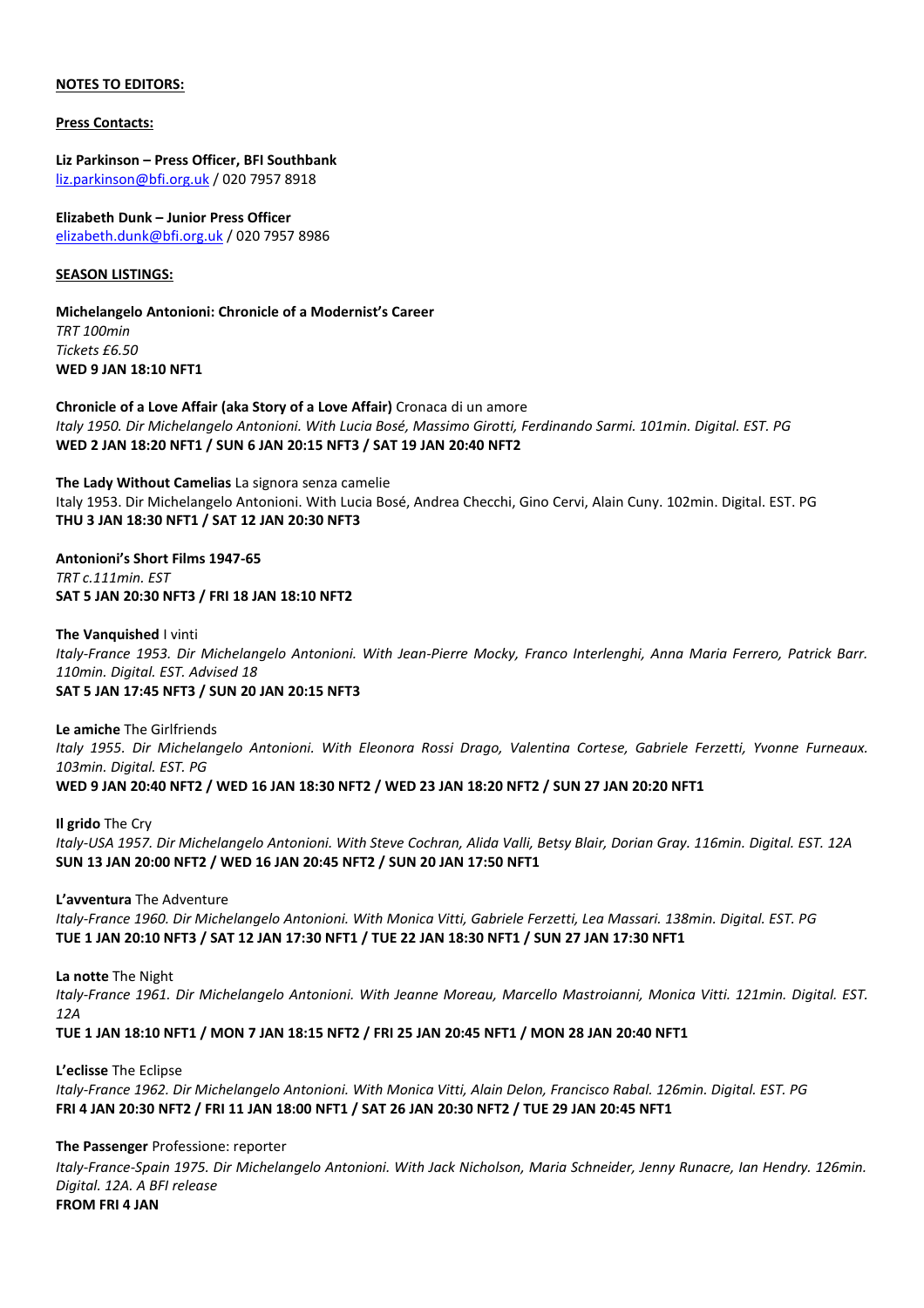#### **NOTES TO EDITORS:**

**Press Contacts:**

**Liz Parkinson – Press Officer, BFI Southbank** [liz.parkinson@bfi.org.uk](mailto:liz.parkinson@bfi.org.uk) / 020 7957 8918

**Elizabeth Dunk – Junior Press Officer** [elizabeth.dunk@bfi.org.uk](mailto:elizabeth.dunk@bfi.org.uk) / 020 7957 8986

#### **SEASON LISTINGS:**

**Michelangelo Antonioni: Chronicle of a Modernist's Career** *TRT 100min Tickets £6.50* **WED 9 JAN 18:10 NFT1**

**Chronicle of a Love Affair (aka Story of a Love Affair)** Cronaca di un amore Italy 1950. Dir Michelangelo Antonioni. With Lucia Bosé, Massimo Girotti, Ferdinando Sarmi. 101min. Digital. EST. PG **WED 2 JAN 18:20 NFT1 / SUN 6 JAN 20:15 NFT3 / SAT 19 JAN 20:40 NFT2**

**The Lady Without Camelias** La signora senza camelie Italy 1953. Dir Michelangelo Antonioni. With Lucia Bosé, Andrea Checchi, Gino Cervi, Alain Cuny. 102min. Digital. EST. PG **THU 3 JAN 18:30 NFT1 / SAT 12 JAN 20:30 NFT3**

**Antonioni's Short Films 1947-65** *TRT c.111min. EST* **SAT 5 JAN 20:30 NFT3 / FRI 18 JAN 18:10 NFT2**

**The Vanquished** I vinti Italy-France 1953. Dir Michelangelo Antonioni. With Jean-Pierre Mocky, Franco Interlenghi, Anna Maria Ferrero, Patrick Barr. *110min. Digital. EST. Advised 18* **SAT 5 JAN 17:45 NFT3 / SUN 20 JAN 20:15 NFT3**

**Le amiche** The Girlfriends Italy 1955. Dir Michelangelo Antonioni. With Eleonora Rossi Drago, Valentina Cortese, Gabriele Ferzetti, Yvonne Furneaux. *103min. Digital. EST. PG* WED 9 JAN 20:40 NFT2 / WED 16 JAN 18:30 NFT2 / WED 23 JAN 18:20 NFT2 / SUN 27 JAN 20:20 NFT1

**Il grido** The Cry Italy-USA 1957. Dir Michelangelo Antonioni. With Steve Cochran, Alida Valli, Betsy Blair, Dorian Gray. 116min. Digital. EST. 12A **SUN 13 JAN 20:00 NFT2 / WED 16 JAN 20:45 NFT2 / SUN 20 JAN 17:50 NFT1**

**L'avventura** The Adventure Italy-France 1960. Dir Michelangelo Antonioni. With Monica Vitti, Gabriele Ferzetti, Lea Massari. 138min. Digital. EST. PG TUE 1 JAN 20:10 NFT3 / SAT 12 JAN 17:30 NFT1 / TUE 22 JAN 18:30 NFT1 / SUN 27 JAN 17:30 NFT1

**La notte** The Night Italy-France 1961. Dir Michelangelo Antonioni. With Jeanne Moreau, Marcello Mastroianni, Monica Vitti. 121min. Digital. EST. *12A* TUE 1 JAN 18:10 NFT1 / MON 7 JAN 18:15 NFT2 / FRI 25 JAN 20:45 NFT1 / MON 28 JAN 20:40 NFT1

**L'eclisse** The Eclipse Italy-France 1962. Dir Michelangelo Antonioni. With Monica Vitti, Alain Delon, Francisco Rabal. 126min. Digital. EST. PG FRI 4 JAN 20:30 NFT2 / FRI 11 JAN 18:00 NFT1 / SAT 26 JAN 20:30 NFT2 / TUE 29 JAN 20:45 NFT1

**The Passenger** Professione: reporter

*Italy-France-Spain 1975. Dir Michelangelo Antonioni. With Jack Nicholson, Maria Schneider, Jenny Runacre, Ian Hendry. 126min. Digital. 12A. A BFI release*  **FROM FRI 4 JAN**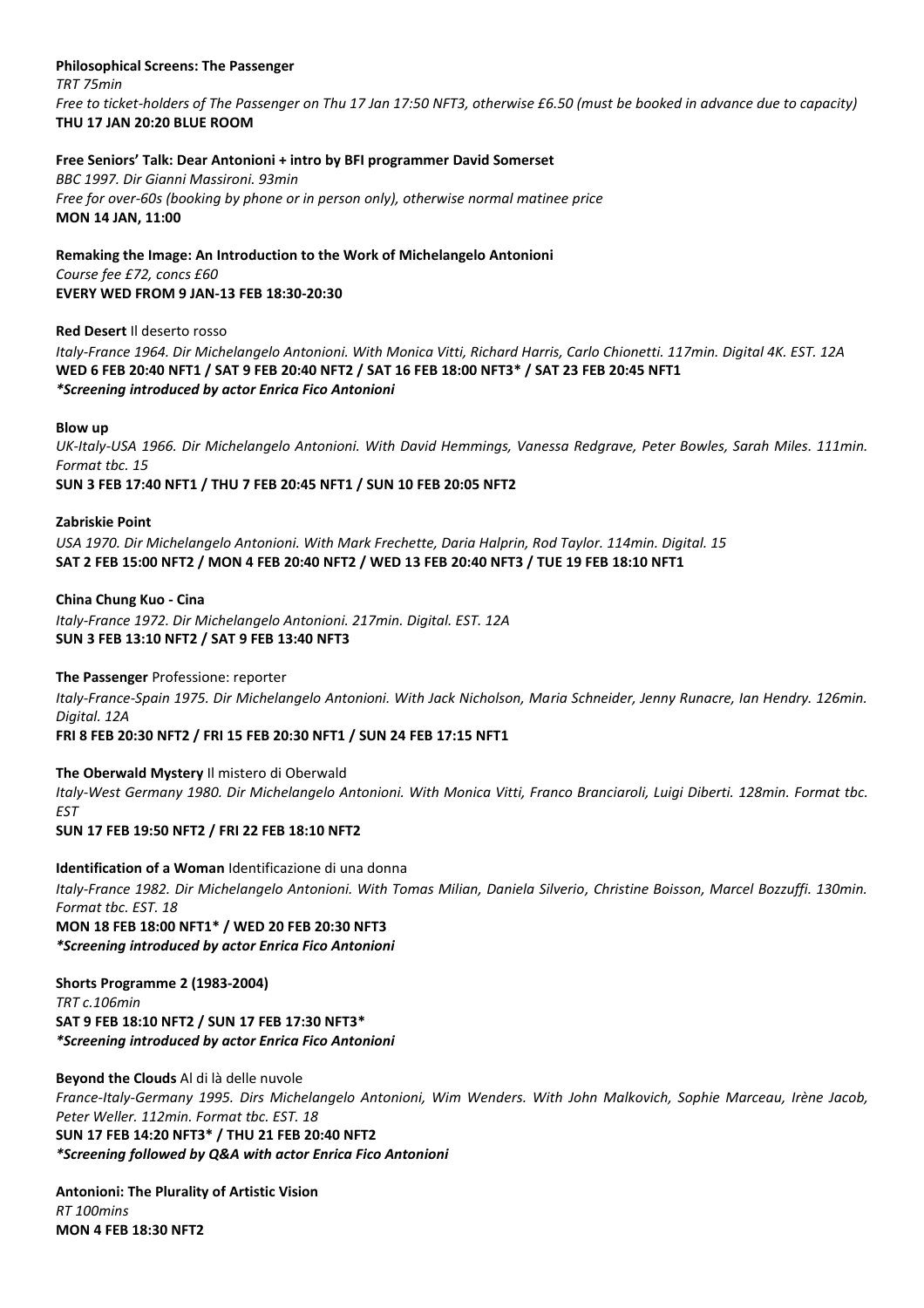#### **Philosophical Screens: The Passenger** *TRT 75min*

*Free to ticket-holders of The Passenger on Thu 17 Jan 17:50 NFT3, otherwise £6.50 (must be booked in advance due to capacity)* **THU 17 JAN 20:20 BLUE ROOM**

### **Free Seniors' Talk: Dear Antonioni + intro by BFI programmer David Somerset**

*BBC 1997. Dir Gianni Massironi. 93min Free for over-60s (booking by phone or in person only), otherwise normal matinee price* **MON 14 JAN, 11:00**

**Remaking the Image: An Introduction to the Work of Michelangelo Antonioni** *Course fee £72, concs £60* **EVERY WED FROM 9 JAN-13 FEB 18:30-20:30**

**Red Desert** Il deserto rosso *Italy-France 1964. Dir Michelangelo Antonioni. With Monica Vitti, Richard Harris, Carlo Chionetti. 117min. Digital 4K. EST. 12A* **WED 6 FEB 20:40 NFT1 / SAT 9 FEB 20:40 NFT2 / SAT 16 FEB 18:00 NFT3\* / SAT 23 FEB 20:45 NFT1** *\*Screening introduced by actor Enrica Fico Antonioni*

#### **Blow up**

UK-Italy-USA 1966. Dir Michelangelo Antonioni. With David Hemmings, Vanessa Redgrave, Peter Bowles, Sarah Miles. 111min. *Format tbc. 15*

**SUN 3 FEB 17:40 NFT1 / THU 7 FEB 20:45 NFT1 / SUN 10 FEB 20:05 NFT2**

**Zabriskie Point** 

*USA 1970. Dir Michelangelo Antonioni. With Mark Frechette, Daria Halprin, Rod Taylor. 114min. Digital. 15* SAT 2 FEB 15:00 NFT2 / MON 4 FEB 20:40 NFT2 / WED 13 FEB 20:40 NFT3 / TUE 19 FEB 18:10 NFT1

**China Chung Kuo - Cina**  *Italy-France 1972. Dir Michelangelo Antonioni. 217min. Digital. EST. 12A* **SUN 3 FEB 13:10 NFT2 / SAT 9 FEB 13:40 NFT3**

**The Passenger** Professione: reporter

*Italy-France-Spain 1975. Dir Michelangelo Antonioni. With Jack Nicholson, Maria Schneider, Jenny Runacre, Ian Hendry. 126min. Digital. 12A* 

**FRI 8 FEB 20:30 NFT2 / FRI 15 FEB 20:30 NFT1 / SUN 24 FEB 17:15 NFT1**

**The Oberwald Mystery** Il mistero di Oberwald Italy-West Germany 1980. Dir Michelangelo Antonioni. With Monica Vitti, Franco Branciaroli, Luigi Diberti. 128min. Format tbc. *EST*

**SUN 17 FEB 19:50 NFT2 / FRI 22 FEB 18:10 NFT2**

**Identification of a Woman** Identificazione di una donna *Italy-France 1982. Dir Michelangelo Antonioni. With Tomas Milian, Daniela Silverio, Christine Boisson, Marcel Bozzuffi. 130min. Format tbc. EST. 18*  **MON 18 FEB 18:00 NFT1\* / WED 20 FEB 20:30 NFT3** *\*Screening introduced by actor Enrica Fico Antonioni*

**Shorts Programme 2 (1983-2004)** *TRT c.106min* **SAT 9 FEB 18:10 NFT2 / SUN 17 FEB 17:30 NFT3\*** *\*Screening introduced by actor Enrica Fico Antonioni*

**Beyond the Clouds** Al di là delle nuvole *France-Italy-Germany 1995. Dirs Michelangelo Antonioni, Wim Wenders. With John Malkovich, Sophie Marceau, Irène Jacob, Peter Weller. 112min. Format tbc. EST. 18* **SUN 17 FEB 14:20 NFT3\* / THU 21 FEB 20:40 NFT2** *\*Screening followed by Q&A with actor Enrica Fico Antonioni*

**Antonioni: The Plurality of Artistic Vision** *RT 100mins* **MON 4 FEB 18:30 NFT2**